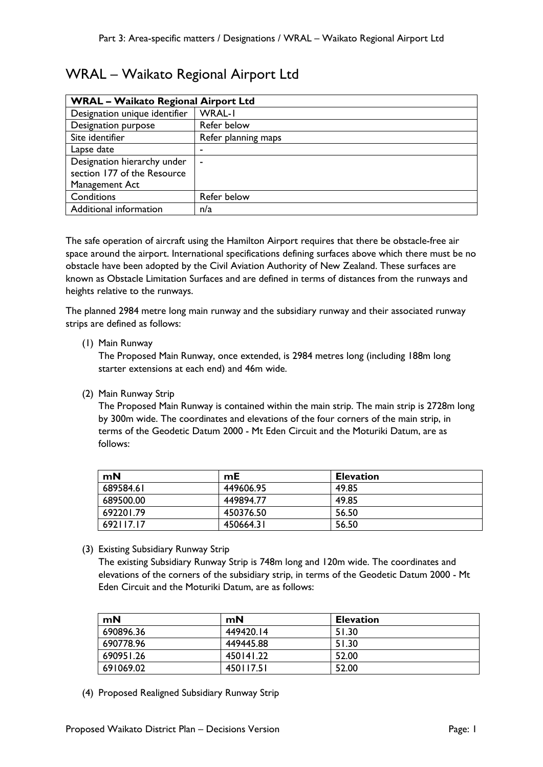# WRAL – Waikato Regional Airport Ltd

| <b>WRAL - Waikato Regional Airport Ltd</b> |                     |  |
|--------------------------------------------|---------------------|--|
| Designation unique identifier              | <b>WRAL-I</b>       |  |
| Designation purpose                        | Refer below         |  |
| Site identifier                            | Refer planning maps |  |
| Lapse date                                 |                     |  |
| Designation hierarchy under                |                     |  |
| section 177 of the Resource                |                     |  |
| Management Act                             |                     |  |
| Conditions                                 | Refer below         |  |
| Additional information                     | n/a                 |  |

The safe operation of aircraft using the Hamilton Airport requires that there be obstacle-free air space around the airport. International specifications defining surfaces above which there must be no obstacle have been adopted by the Civil Aviation Authority of New Zealand. These surfaces are known as Obstacle Limitation Surfaces and are defined in terms of distances from the runways and heights relative to the runways.

The planned 2984 metre long main runway and the subsidiary runway and their associated runway strips are defined as follows:

#### (1) Main Runway

The Proposed Main Runway, once extended, is 2984 metres long (including 188m long starter extensions at each end) and 46m wide.

(2) Main Runway Strip

The Proposed Main Runway is contained within the main strip. The main strip is 2728m long by 300m wide. The coordinates and elevations of the four corners of the main strip, in terms of the Geodetic Datum 2000 - Mt Eden Circuit and the Moturiki Datum, are as follows:

| mN        | mE        | <b>Elevation</b> |  |
|-----------|-----------|------------------|--|
| 689584.61 | 449606.95 | 49.85            |  |
| 689500.00 | 449894.77 | 49.85            |  |
| 692201.79 | 450376.50 | 56.50            |  |
| 692117.17 | 450664.31 | 56.50            |  |

(3) Existing Subsidiary Runway Strip

The existing Subsidiary Runway Strip is 748m long and 120m wide. The coordinates and elevations of the corners of the subsidiary strip, in terms of the Geodetic Datum 2000 - Mt Eden Circuit and the Moturiki Datum, are as follows:

| mN        | mN        | <b>Elevation</b> |
|-----------|-----------|------------------|
| 690896.36 | 449420.14 | 51.30            |
| 690778.96 | 449445.88 | 51.30            |
| 690951.26 | 450141.22 | 52.00            |
| 691069.02 | 450117.51 | 52.00            |

(4) Proposed Realigned Subsidiary Runway Strip